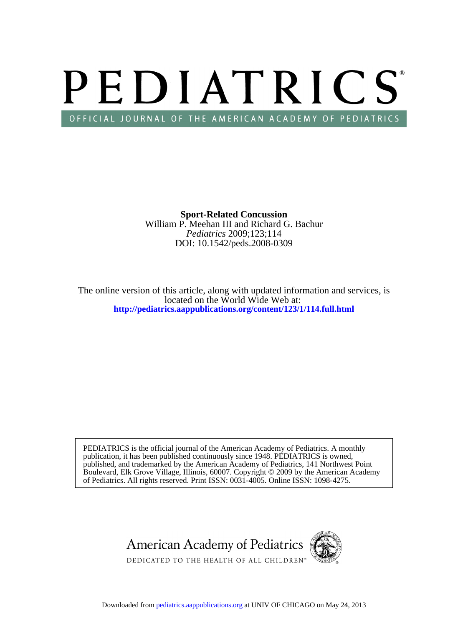# PEDIATRICS OFFICIAL JOURNAL OF THE AMERICAN ACADEMY OF PEDIATRICS

DOI: 10.1542/peds.2008-0309 *Pediatrics* 2009;123;114 William P. Meehan III and Richard G. Bachur **Sport-Related Concussion**

**<http://pediatrics.aappublications.org/content/123/1/114.full.html>** located on the World Wide Web at: The online version of this article, along with updated information and services, is

of Pediatrics. All rights reserved. Print ISSN: 0031-4005. Online ISSN: 1098-4275. Boulevard, Elk Grove Village, Illinois, 60007. Copyright © 2009 by the American Academy published, and trademarked by the American Academy of Pediatrics, 141 Northwest Point publication, it has been published continuously since 1948. PEDIATRICS is owned, PEDIATRICS is the official journal of the American Academy of Pediatrics. A monthly

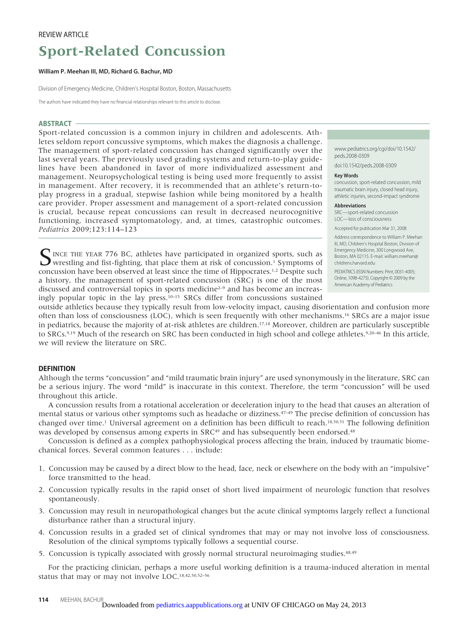#### REVIEW ARTICLE

## **Sport-Related Concussion**

#### **William P. Meehan III, MD, Richard G. Bachur, MD**

Division of Emergency Medicine, Children's Hospital Boston, Boston, Massachusetts

The authors have indicated they have no financial relationships relevant to this article to disclose.

#### **ABSTRACT**

Sport-related concussion is a common injury in children and adolescents. Athletes seldom report concussive symptoms, which makes the diagnosis a challenge. The management of sport-related concussion has changed significantly over the last several years. The previously used grading systems and return-to-play guidelines have been abandoned in favor of more individualized assessment and management. Neuropsychological testing is being used more frequently to assist in management. After recovery, it is recommended that an athlete's return-toplay progress in a gradual, stepwise fashion while being monitored by a health care provider. Proper assessment and management of a sport-related concussion is crucial, because repeat concussions can result in decreased neurocognitive functioning, increased symptomatology, and, at times, catastrophic outcomes. *Pediatrics* 2009;123:114–123

SINCE THE YEAR 776 BC, athletes have participated in organized sports, such as<br>wrestling and fist-fighting, that place them at risk of concussion.<sup>1</sup> Symptoms of concussion have been observed at least since the time of Hippocrates.1,2 Despite such a history, the management of sport-related concussion (SRC) is one of the most discussed and controversial topics in sports medicine<sup>2-9</sup> and has become an increasingly popular topic in the lay press.10–15 SRCs differ from concussions sustained www.pediatrics.org/cgi/doi/10.1542/ peds.2008-0309

doi:10.1542/peds.2008-0309

#### **Key Words**

concussion, sport-related concussion, mild traumatic brain injury, closed head injury, athletic injuries, second-impact syndrome

#### **Abbreviations**

SRC—sport-related concussion LOC—loss of consciousness

Accepted for publication Mar 31, 2008

Address correspondence to William P. Meehan III, MD, Children's Hospital Boston, Division of Emergency Medicine, 300 Longwood Ave, Boston, MA 02115. E-mail: william.meehan@ childrens.harvard.edu

PEDIATRICS (ISSN Numbers: Print, 0031-4005; Online, 1098-4275). Copyright © 2009 by the American Academy of Pediatrics

outside athletics because they typically result from low-velocity impact, causing disorientation and confusion more often than loss of consciousness (LOC), which is seen frequently with other mechanisms.16 SRCs are a major issue in pediatrics, because the majority of at-risk athletes are children.17,18 Moreover, children are particularly susceptible to SRCs.9,19 Much of the research on SRC has been conducted in high school and college athletes.9,20–46 In this article, we will review the literature on SRC.

#### **DEFINITION**

Although the terms "concussion" and "mild traumatic brain injury" are used synonymously in the literature, SRC can be a serious injury. The word "mild" is inaccurate in this context. Therefore, the term "concussion" will be used throughout this article.

A concussion results from a rotational acceleration or deceleration injury to the head that causes an alteration of mental status or various other symptoms such as headache or dizziness.47–49 The precise definition of concussion has changed over time.1 Universal agreement on a definition has been difficult to reach.18,50,51 The following definition was developed by consensus among experts in SRC<sup>49</sup> and has subsequently been endorsed.<sup>48</sup>

Concussion is defined as a complex pathophysiological process affecting the brain, induced by traumatic biomechanical forces. Several common features . . . include:

- 1. Concussion may be caused by a direct blow to the head, face, neck or elsewhere on the body with an "impulsive" force transmitted to the head.
- 2. Concussion typically results in the rapid onset of short lived impairment of neurologic function that resolves spontaneously.
- 3. Concussion may result in neuropathological changes but the acute clinical symptoms largely reflect a functional disturbance rather than a structural injury.
- 4. Concussion results in a graded set of clinical syndromes that may or may not involve loss of consciousness. Resolution of the clinical symptoms typically follows a sequential course.
- 5. Concussion is typically associated with grossly normal structural neuroimaging studies.<sup>48,49</sup>

For the practicing clinician, perhaps a more useful working definition is a trauma-induced alteration in mental status that may or may not involve LOC.18,42,50,52–56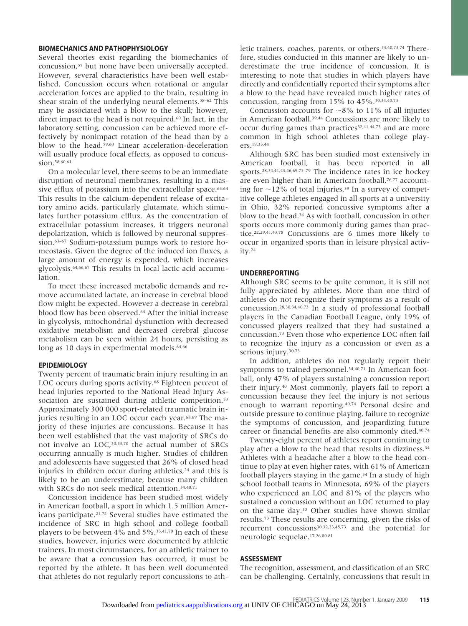#### **BIOMECHANICS AND PATHOPHYSIOLOGY**

Several theories exist regarding the biomechanics of concussion,57 but none have been universally accepted. However, several characteristics have been well established. Concussion occurs when rotational or angular acceleration forces are applied to the brain, resulting in shear strain of the underlying neural elements.<sup>58–62</sup> This may be associated with a blow to the skull; however, direct impact to the head is not required.<sup>60</sup> In fact, in the laboratory setting, concussion can be achieved more effectively by nonimpact rotation of the head than by a blow to the head.59,60 Linear acceleration-deceleration will usually produce focal effects, as opposed to concussion.<sup>58,60,61</sup>

On a molecular level, there seems to be an immediate disruption of neuronal membranes, resulting in a massive efflux of potassium into the extracellular space.<sup>63,64</sup> This results in the calcium-dependent release of excitatory amino acids, particularly glutamate, which stimulates further potassium efflux. As the concentration of extracellular potassium increases, it triggers neuronal depolarization, which is followed by neuronal suppression.63–67 Sodium-potassium pumps work to restore homeostasis. Given the degree of the induced ion fluxes, a large amount of energy is expended, which increases glycolysis.64,66,67 This results in local lactic acid accumulation.

To meet these increased metabolic demands and remove accumulated lactate, an increase in cerebral blood flow might be expected. However a decrease in cerebral blood flow has been observed.<sup>64</sup> After the initial increase in glycolysis, mitochondrial dysfunction with decreased oxidative metabolism and decreased cerebral glucose metabolism can be seen within 24 hours, persisting as long as 10 days in experimental models.<sup>64,66</sup>

#### **EPIDEMIOLOGY**

Twenty percent of traumatic brain injury resulting in an LOC occurs during sports activity.<sup>68</sup> Eighteen percent of head injuries reported to the National Head Injury Association are sustained during athletic competition.<sup>53</sup> Approximately 300 000 sport-related traumatic brain injuries resulting in an LOC occur each year.<sup>68,69</sup> The majority of these injuries are concussions. Because it has been well established that the vast majority of SRCs do not involve an LOC,30,33,70 the actual number of SRCs occurring annually is much higher. Studies of children and adolescents have suggested that 26% of closed head injuries in children occur during athletics, $24$  and this is likely to be an underestimate, because many children with SRCs do not seek medical attention.<sup>34,40,71</sup>

Concussion incidence has been studied most widely in American football, a sport in which 1.5 million Americans participate.21,72 Several studies have estimated the incidence of SRC in high school and college football players to be between 4% and 5%.33,41,70 In each of these studies, however, injuries were documented by athletic trainers. In most circumstances, for an athletic trainer to be aware that a concussion has occurred, it must be reported by the athlete. It has been well documented that athletes do not regularly report concussions to athletic trainers, coaches, parents, or others.<sup>34,40,73,74</sup> Therefore, studies conducted in this manner are likely to underestimate the true incidence of concussion. It is interesting to note that studies in which players have directly and confidentially reported their symptoms after a blow to the head have revealed much higher rates of concussion, ranging from 15% to 45%.<sup>30,34,40,73</sup>

Concussion accounts for  $\sim 8\%$  to 11% of all injuries in American football.39,44 Concussions are more likely to occur during games than practices<sup>32,41,44,73</sup> and are more common in high school athletes than college players.19,33,44

Although SRC has been studied most extensively in American football, it has been reported in all sports.28,34,41,43,46,69,75–79 The incidence rates in ice hockey are even higher than in American football,<sup>76,77</sup> accounting for  $\sim$ 12% of total injuries.<sup>39</sup> In a survey of competitive college athletes engaged in all sports at a university in Ohio, 32% reported concussive symptoms after a blow to the head.34 As with football, concussion in other sports occurs more commonly during games than practice.22,29,41,43,78 Concussions are 6 times more likely to occur in organized sports than in leisure physical activity.24

#### **UNDERREPORTING**

Although SRC seems to be quite common, it is still not fully appreciated by athletes. More than one third of athletes do not recognize their symptoms as a result of concussion.28,30,34,40,73 In a study of professional football players in the Canadian Football League, only 19% of concussed players realized that they had sustained a concussion.73 Even those who experience LOC often fail to recognize the injury as a concussion or even as a serious injury.<sup>30,73</sup>

In addition, athletes do not regularly report their symptoms to trained personnel.<sup>34,40,71</sup> In American football, only 47% of players sustaining a concussion report their injury.40 Most commonly, players fail to report a concussion because they feel the injury is not serious enough to warrant reporting.40,74 Personal desire and outside pressure to continue playing, failure to recognize the symptoms of concussion, and jeopardizing future career or financial benefits are also commonly cited.40,74

Twenty-eight percent of athletes report continuing to play after a blow to the head that results in dizziness.<sup>34</sup> Athletes with a headache after a blow to the head continue to play at even higher rates, with 61% of American football players staying in the game.<sup>34</sup> In a study of high school football teams in Minnesota, 69% of the players who experienced an LOC and 81% of the players who sustained a concussion without an LOC returned to play on the same day.30 Other studies have shown similar results.73 These results are concerning, given the risks of recurrent concussions30,32,33,45,73 and the potential for neurologic sequelae.17,26,80,81

#### **ASSESSMENT**

The recognition, assessment, and classification of an SRC can be challenging. Certainly, concussions that result in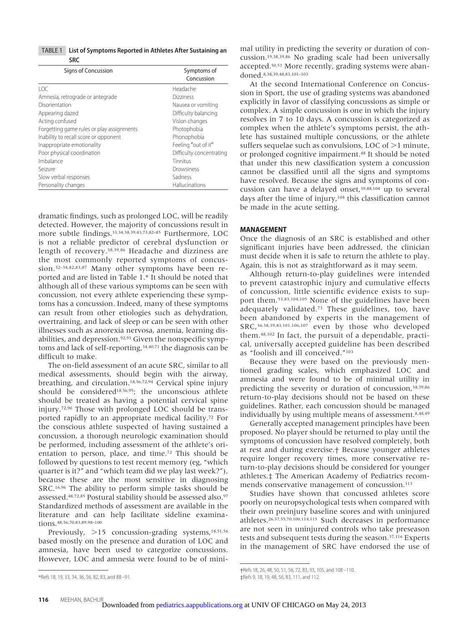TABLE 1 **List of Symptoms Reported in Athletes After Sustaining an SRC**

| Signs of Concussion                       | Symptoms of<br>Concussion |
|-------------------------------------------|---------------------------|
| 10C                                       | Headache                  |
| Amnesia, retrograde or antegrade          | <b>Dizziness</b>          |
| Disorientation                            | Nausea or vomiting        |
| Appearing dazed                           | Difficulty balancing      |
| Acting confused                           | Vision changes            |
| Forgetting game rules or play assignments | Photophobia               |
| Inability to recall score or opponent     | Phonophobia               |
| Inappropriate emotionality                | Feeling "out of it"       |
| Poor physical coordination                | Difficulty concentrating  |
| Imbalance                                 | Tinnitus                  |
| Seizure                                   | Drowsiness                |
| Slow verbal responses                     | Sadness                   |
| Personality changes                       | Hallucinations            |

dramatic findings, such as prolonged LOC, will be readily detected. However, the majority of concussions result in more subtle findings.<sup>33,34,38,39,43,73,82-85</sup> Furthermore, LOC is not a reliable predictor of cerebral dysfunction or length of recovery.38,39,86 Headache and dizziness are the most commonly reported symptoms of concussion.32–34,82,83,87 Many other symptoms have been reported and are listed in Table 1.\* It should be noted that although all of these various symptoms can be seen with concussion, not every athlete experiencing these symptoms has a concussion. Indeed, many of these symptoms can result from other etiologies such as dehydration, overtraining, and lack of sleep or can be seen with other illnesses such as anorexia nervosa, anemia, learning disabilities, and depression.92,93 Given the nonspecific symptoms and lack of self-reporting,<sup>34,40,71</sup> the diagnosis can be difficult to make.

The on-field assessment of an acute SRC, similar to all medical assessments, should begin with the airway, breathing, and circulation.18,56,72,94 Cervical spine injury should be considered<sup>18,56,95</sup>; the unconscious athlete should be treated as having a potential cervical spine injury.72,90 Those with prolonged LOC should be transported rapidly to an appropriate medical facility.72 For the conscious athlete suspected of having sustained a concussion, a thorough neurologic examination should be performed, including assessment of the athlete's orientation to person, place, and time.72 This should be followed by questions to test recent memory (eg, "which quarter is it?" and "which team did we play last week?"), because these are the most sensitive in diagnosing SRC.16,96 The ability to perform simple tasks should be assessed.48,72,85 Postural stability should be assessed also.97 Standardized methods of assessment are available in the literature and can help facilitate sideline examinations.48,56,70,83,89,98–100

Previously, >15 concussion-grading systems,<sup>18,51,56</sup> based mostly on the presence and duration of LOC and amnesia, have been used to categorize concussions. However, LOC and amnesia were found to be of minimal utility in predicting the severity or duration of concussion.19,38,39,86 No grading scale had been universally accepted.50,51 More recently, grading systems were abandoned.8,38,39,48,83,101–103

At the second International Conference on Concussion in Sport, the use of grading systems was abandoned explicitly in favor of classifying concussions as simple or complex. A simple concussion is one in which the injury resolves in 7 to 10 days. A concussion is categorized as complex when the athlete's symptoms persist, the athlete has sustained multiple concussions, or the athlete suffers sequelae such as convulsions, LOC of  $>1$  minute, or prolonged cognitive impairment.48 It should be noted that under this new classification system a concussion cannot be classified until all the signs and symptoms have resolved. Because the signs and symptoms of concussion can have a delayed onset,39,88,104 up to several days after the time of injury,104 this classification cannot be made in the acute setting.

#### **MANAGEMENT**

Once the diagnosis of an SRC is established and other significant injuries have been addressed, the clinician must decide when it is safe to return the athlete to play. Again, this is not as straightforward as it may seem.

Although return-to-play guidelines were intended to prevent catastrophic injury and cumulative effects of concussion, little scientific evidence exists to support them.53,83,104,105 None of the guidelines have been adequately validated.73 These guidelines, too, have been abandoned by experts in the management of SRC, 36,38,39,83,101,106,107 even by those who developed them.48,102 In fact, the pursuit of a dependable, practical, universally accepted guideline has been described as "foolish and ill conceived."103

Because they were based on the previously mentioned grading scales, which emphasized LOC and amnesia and were found to be of minimal utility in predicting the severity or duration of concussion,38,39,86 return-to-play decisions should not be based on these guidelines. Rather, each concussion should be managed individually by using multiple means of assessment.<sup>8,48,49</sup>

Generally accepted management principles have been proposed. No player should be returned to play until the symptoms of concussion have resolved completely, both at rest and during exercise.† Because younger athletes require longer recovery times, more conservative return-to-play decisions should be considered for younger athletes.‡ The American Academy of Pediatrics recommends conservative management of concussion.<sup>113</sup>

Studies have shown that concussed athletes score poorly on neuropsychological tests when compared with their own preinjury baseline scores and with uninjured athletes.26,37,55,70,100,114,115 Such decreases in performance are not seen in uninjured controls who take preseason tests and subsequent tests during the season.<sup>37,116</sup> Experts in the management of SRC have endorsed the use of

<sup>\*</sup>Refs 18, 19, 33, 34, 36, 56, 82, 83, and 88 –91.

<sup>†</sup>Refs 18, 26, 48, 50, 51, 56, 72, 83, 93, 105, and 108 –110. ‡Refs 9, 18, 19, 48, 56, 83, 111, and 112.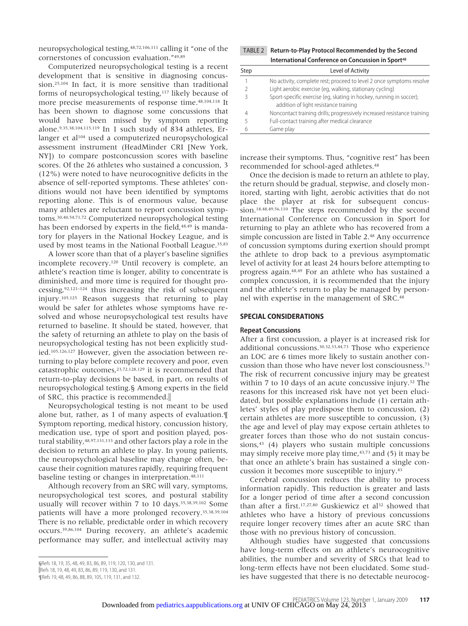neuropsychological testing,48,72,106,111 calling it "one of the cornerstones of concussion evaluation."49,89

Computerized neuropsychological testing is a recent development that is sensitive in diagnosing concussion.25,104 In fact, it is more sensitive than traditional forms of neuropsychological testing,117 likely because of more precise measurements of response time.48,104,118 It has been shown to diagnose some concussions that would have been missed by symptom reporting alone.9,35,38,104,115,119 In 1 such study of 834 athletes, Erlanger et al<sup>104</sup> used a computerized neuropsychological assessment instrument (HeadMinder CRI [New York, NY]) to compare postconcussion scores with baseline scores. Of the 26 athletes who sustained a concussion, 3 (12%) were noted to have neurocognitive deficits in the absence of self-reported symptoms. These athletes' conditions would not have been identified by symptoms reporting alone. This is of enormous value, because many athletes are reluctant to report concussion symptoms.30,40,54,71,72 Computerized neuropsychological testing has been endorsed by experts in the field,<sup>48,49</sup> is mandatory for players in the National Hockey League, and is used by most teams in the National Football League.35,83

A lower score than that of a player's baseline signifies incomplete recovery.120 Until recovery is complete, an athlete's reaction time is longer, ability to concentrate is diminished, and more time is required for thought processing,92,121–124 thus increasing the risk of subsequent injury.105,125 Reason suggests that returning to play would be safer for athletes whose symptoms have resolved and whose neuropsychological test results have returned to baseline. It should be stated, however, that the safety of returning an athlete to play on the basis of neuropsychological testing has not been explicitly studied.105,126,127 However, given the association between returning to play before complete recovery and poor, even catastrophic outcomes,23,72,128,129 it is recommended that return-to-play decisions be based, in part, on results of neuropsychological testing.§ Among experts in the field of SRC, this practice is recommended.

Neuropsychological testing is not meant to be used alone but, rather, as 1 of many aspects of evaluation.¶ Symptom reporting, medical history, concussion history, medication use, type of sport and position played, postural stability, 48,97,131,133 and other factors play a role in the decision to return an athlete to play. In young patients, the neuropsychological baseline may change often, because their cognition matures rapidly, requiring frequent baseline testing or changes in interpretation.48,111

Although recovery from an SRC will vary, symptoms, neuropsychological test scores, and postural stability usually will recover within 7 to 10 days.35,38,39,102 Some patients will have a more prolonged recovery.35,38,39,104 There is no reliable, predictable order in which recovery occurs.39,86,104 During recovery, an athlete's academic performance may suffer, and intellectual activity may

TABLE 2 **Return-to-Play Protocol Recommended by the Second International Conference on Concussion in Sport48** 

| Step | Level of Activity                                                       |
|------|-------------------------------------------------------------------------|
|      | No activity, complete rest; proceed to level 2 once symptoms resolve    |
|      | Light aerobic exercise (eg, walking, stationary cycling)                |
|      | Sport-specific exercise (eq, skating in hockey, running in soccer);     |
|      | addition of light resistance training                                   |
| 4    | Noncontact training drills; progressively increased resistance training |
|      | Full-contact training after medical clearance                           |
| h    | Game play                                                               |

increase their symptoms. Thus, "cognitive rest" has been recommended for school-aged athletes.48

Once the decision is made to return an athlete to play, the return should be gradual, stepwise, and closely monitored, starting with light, aerobic activities that do not place the player at risk for subsequent concussion.18,48,49,56,110 The steps recommended by the second International Conference on Concussion in Sport for returning to play an athlete who has recovered from a simple concussion are listed in Table 2.<sup>48</sup> Any occurrence of concussion symptoms during exertion should prompt the athlete to drop back to a previous asymptomatic level of activity for at least 24 hours before attempting to progress again.48,49 For an athlete who has sustained a complex concussion, it is recommended that the injury and the athlete's return to play be managed by personnel with expertise in the management of SRC.48

#### **SPECIAL CONSIDERATIONS**

#### **Repeat Concussions**

After a first concussion, a player is at increased risk for additional concussions.30,32,33,44,73 Those who experience an LOC are 6 times more likely to sustain another concussion than those who have never lost consciousness.73 The risk of recurrent concussive injury may be greatest within 7 to 10 days of an acute concussive injury.<sup>32</sup> The reasons for this increased risk have not yet been elucidated, but possible explanations include (1) certain athletes' styles of play predispose them to concussion, (2) certain athletes are more susceptible to concussion, (3) the age and level of play may expose certain athletes to greater forces than those who do not sustain concussions, $43$  (4) players who sustain multiple concussions may simply receive more play time, $43,73$  and (5) it may be that once an athlete's brain has sustained a single concussion it becomes more susceptible to injury.43

Cerebral concussion reduces the ability to process information rapidly. This reduction is greater and lasts for a longer period of time after a second concussion than after a first.<sup>17,27,80</sup> Guskiewicz et al<sup>32</sup> showed that athletes who have a history of previous concussions require longer recovery times after an acute SRC than those with no previous history of concussion.

Although studies have suggested that concussions have long-term effects on an athlete's neurocognitive abilities, the number and severity of SRCs that lead to long-term effects have not been elucidated. Some studies have suggested that there is no detectable neurocog-

<sup>§</sup>Refs 18, 19, 35, 48, 49, 83, 86, 89, 119, 120, 130, and 131. Refs 18, 19, 48, 49, 83, 86, 89, 119, 130, and 131.

<sup>¶</sup>Refs 19, 48, 49, 86, 88, 89, 105, 119, 131, and 132.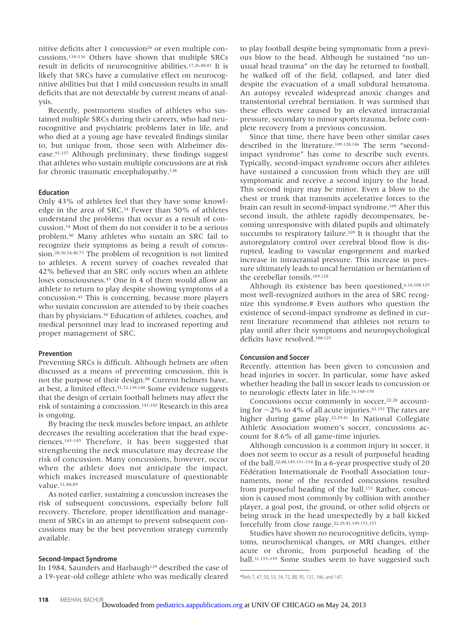nitive deficits after 1 concussion<sup>26</sup> or even multiple concussions.134–136 Others have shown that multiple SRCs result in deficits of neurocognitive abilities.17,26,80,81 It is likely that SRCs have a cumulative effect on neurocognitive abilities but that 1 mild concussion results in small deficits that are not detectable by current means of analysis.

Recently, postmortem studies of athletes who sustained multiple SRCs during their careers, who had neurocognitive and psychiatric problems later in life, and who died at a young age have revealed findings similar to, but unique from, those seen with Alzheimer disease.91,137 Although preliminary, these findings suggest that athletes who sustain multiple concussions are at risk for chronic traumatic encephalopathy.138

#### **Education**

Only 43% of athletes feel that they have some knowledge in the area of SRC.34 Fewer than 50% of athletes understand the problems that occur as a result of concussion.34 Most of them do not consider it to be a serious problem.40 Many athletes who sustain an SRC fail to recognize their symptoms as being a result of concussion.28,30,34,40,73 The problem of recognition is not limited to athletes. A recent survey of coaches revealed that 42% believed that an SRC only occurs when an athlete loses consciousness.45 One in 4 of them would allow an athlete to return to play despite showing symptoms of a concussion.45 This is concerning, because more players who sustain concussion are attended to by their coaches than by physicians.30 Education of athletes, coaches, and medical personnel may lead to increased reporting and proper management of SRC.

#### **Prevention**

Preventing SRCs is difficult. Although helmets are often discussed as a means of preventing concussion, this is not the purpose of their design.<sup>88</sup> Current helmets have, at best, a limited effect.51,72,139,140 Some evidence suggests that the design of certain football helmets may affect the risk of sustaining a concussion.141,142 Research in this area is ongoing.

By bracing the neck muscles before impact, an athlete decreases the resulting acceleration that the head experiences.143–145 Therefore, it has been suggested that strengthening the neck musculature may decrease the risk of concussion. Many concussions, however, occur when the athlete does not anticipate the impact, which makes increased musculature of questionable value.<sup>51,88,89</sup>

As noted earlier, sustaining a concussion increases the risk of subsequent concussions, especially before full recovery. Therefore, proper identification and management of SRCs in an attempt to prevent subsequent concussions may be the best prevention strategy currently available.

#### **Second-Impact Syndrome**

In 1984, Saunders and Harbaugh<sup>129</sup> described the case of a 19-year-old college athlete who was medically cleared to play football despite being symptomatic from a previous blow to the head. Although he sustained "no unusual head trauma" on the day he returned to football, he walked off of the field, collapsed, and later died despite the evacuation of a small subdural hematoma. An autopsy revealed widespread anoxic changes and transtentorial cerebral herniation. It was surmised that these effects were caused by an elevated intracranial pressure, secondary to minor sports trauma, before complete recovery from a previous concussion.

Since that time, there have been other similar cases described in the literature.109,128,146 The term "secondimpact syndrome" has come to describe such events. Typically, second-impact syndrome occurs after athletes have sustained a concussion from which they are still symptomatic and receive a second injury to the head. This second injury may be minor. Even a blow to the chest or trunk that transmits accelerative forces to the brain can result in second-impact syndrome.109 After this second insult, the athlete rapidly decompensates, becoming unresponsive with dilated pupils and ultimately succumbs to respiratory failure.<sup>109</sup> It is thought that the autoregulatory control over cerebral blood flow is disrupted, leading to vascular engorgement and marked increase in intracranial pressure. This increase in pressure ultimately leads to uncal herniation or herniation of the cerebellar tonsils.109,128

Although its existence has been questioned, 6,16,108,125 most well-recognized authors in the area of SRC recognize this syndrome.# Even authors who question the existence of second-impact syndrome as defined in current literature recommend that athletes not return to play until after their symptoms and neuropsychological deficits have resolved.108,125

#### **Concussion and Soccer**

Recently, attention has been given to concussion and head injuries in soccer. In particular, some have asked whether heading the ball in soccer leads to concussion or to neurologic effects later in life.16,148–150

Concussions occur commonly in soccer,<sup>22,28</sup> accounting for  $\sim$ 2% to 4% of all acute injuries.  $41,151$  The rates are higher during game play.<sup>22,29,41</sup> In National Collegiate Athletic Association women's soccer, concussions account for 8.6% of all game-time injuries.

Although concussion is a common injury in soccer, it does not seem to occur as a result of purposeful heading of the ball.22,88,149,151–154 In a 6-year prospective study of 20 Fédération Internationale de Football Association tournaments, none of the recorded concussions resulted from purposeful heading of the ball.<sup>153</sup> Rather, concussion is caused most commonly by collision with another player, a goal post, the ground, or other solid objects or being struck in the head unexpectedly by a ball kicked forcefully from close range.22,29,41,149,151,153

Studies have shown no neurocognitive deficits, symptoms, neurochemical changes, or MRI changes, either acute or chronic, from purposeful heading of the ball.31,155–159 Some studies seem to have suggested such

<sup>#</sup>Refs 7, 47, 50, 53, 54, 72, 88, 95, 131, 146, and 147.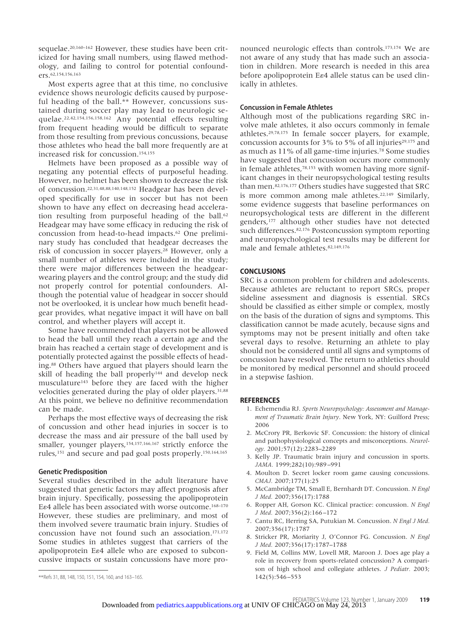sequelae.<sup>20,160-162</sup> However, these studies have been criticized for having small numbers, using flawed methodology, and failing to control for potential confounders.62,154,156,163

Most experts agree that at this time, no conclusive evidence shows neurologic deficits caused by purposeful heading of the ball.\*\* However, concussions sustained during soccer play may lead to neurologic sequelae.22,42,154,156,158,162 Any potential effects resulting from frequent heading would be difficult to separate from those resulting from previous concussions, because those athletes who head the ball more frequently are at increased risk for concussion.154,155

Helmets have been proposed as a possible way of negating any potential effects of purposeful heading. However, no helmet has been shown to decrease the risk of concussion.22,31,48,88,140,148,152 Headgear has been developed specifically for use in soccer but has not been shown to have any effect on decreasing head acceleration resulting from purposeful heading of the ball.<sup>62</sup> Headgear may have some efficacy in reducing the risk of concussion from head-to-head impacts.62 One preliminary study has concluded that headgear decreases the risk of concussion in soccer players.28 However, only a small number of athletes were included in the study; there were major differences between the headgearwearing players and the control group; and the study did not properly control for potential confounders. Although the potential value of headgear in soccer should not be overlooked, it is unclear how much benefit headgear provides, what negative impact it will have on ball control, and whether players will accept it.

Some have recommended that players not be allowed to head the ball until they reach a certain age and the brain has reached a certain stage of development and is potentially protected against the possible effects of heading.88 Others have argued that players should learn the skill of heading the ball properly<sup>144</sup> and develop neck musculature143 before they are faced with the higher velocities generated during the play of older players.31,88 At this point, we believe no definitive recommendation can be made.

Perhaps the most effective ways of decreasing the risk of concussion and other head injuries in soccer is to decrease the mass and air pressure of the ball used by smaller, younger players,<sup>154,157,166,167</sup> strictly enforce the rules,151 and secure and pad goal posts properly.150,164,165

#### **Genetic Predisposition**

Several studies described in the adult literature have suggested that genetic factors may affect prognosis after brain injury. Specifically, possessing the apolipoprotein E $\varepsilon$ 4 allele has been associated with worse outcome.<sup>168-170</sup> However, these studies are preliminary, and most of them involved severe traumatic brain injury. Studies of concussion have not found such an association.171,172 Some studies in athletes suggest that carriers of the apolipoprotein E $\varepsilon$ 4 allele who are exposed to subconcussive impacts or sustain concussions have more pronounced neurologic effects than controls.173,174 We are not aware of any study that has made such an association in children. More research is needed in this area before apolipoprotein E $\varepsilon$ 4 allele status can be used clinically in athletes.

#### **Concussion in Female Athletes**

Although most of the publications regarding SRC involve male athletes, it also occurs commonly in female athletes.29,78,175 In female soccer players, for example, concussion accounts for 3% to 5% of all injuries<sup>29,175</sup> and as much as 11% of all game-time injuries.78 Some studies have suggested that concussion occurs more commonly in female athletes,78,153 with women having more significant changes in their neuropsychological testing results than men.82,176,177 Others studies have suggested that SRC is more common among male athletes.22,149 Similarly, some evidence suggests that baseline performances on neuropsychological tests are different in the different genders,177 although other studies have not detected such differences.<sup>82,176</sup> Postconcussion symptom reporting and neuropsychological test results may be different for male and female athletes.82,149,176

#### **CONCLUSIONS**

SRC is a common problem for children and adolescents. Because athletes are reluctant to report SRCs, proper sideline assessment and diagnosis is essential. SRCs should be classified as either simple or complex, mostly on the basis of the duration of signs and symptoms. This classification cannot be made acutely, because signs and symptoms may not be present initially and often take several days to resolve. Returning an athlete to play should not be considered until all signs and symptoms of concussion have resolved. The return to athletics should be monitored by medical personnel and should proceed in a stepwise fashion.

#### **REFERENCES**

- 1. Echemendia RJ. *Sports Neuropsychology: Assessment and Management of Traumatic Brain Injury*. New York, NY: Guilford Press; 2006
- 2. McCrory PR, Berkovic SF. Concussion: the history of clinical and pathophysiological concepts and misconceptions. *Neurology.* 2001;57(12):2283–2289
- 3. Kelly JP. Traumatic brain injury and concussion in sports. *JAMA.* 1999;282(10):989 –991
- 4. Moulton D. Secret locker room game causing concussions. *CMAJ.* 2007;177(1):25
- 5. McCambridge TM, Small E, Bernhardt DT. Concussion. *N Engl J Med.* 2007;356(17):1788
- 6. Ropper AH, Gorson KC. Clinical practice: concussion. *N Engl J Med.* 2007;356(2):166 –172
- 7. Cantu RC, Herring SA, Putukian M. Concussion. *N Engl J Med.* 2007;356(17):1787
- 8. Stricker PR, Moriarity J, O'Connor FG. Concussion. *N Engl J Med.* 2007;356(17):1787–1788
- 9. Field M, Collins MW, Lovell MR, Maroon J. Does age play a role in recovery from sports-related concussion? A comparison of high school and collegiate athletes. *J Pediatr.* 2003;

<sup>\*\*</sup>Refs 31, 88, 148, 150, 151, 154, 160, and 163-165. 142 (5):546 –553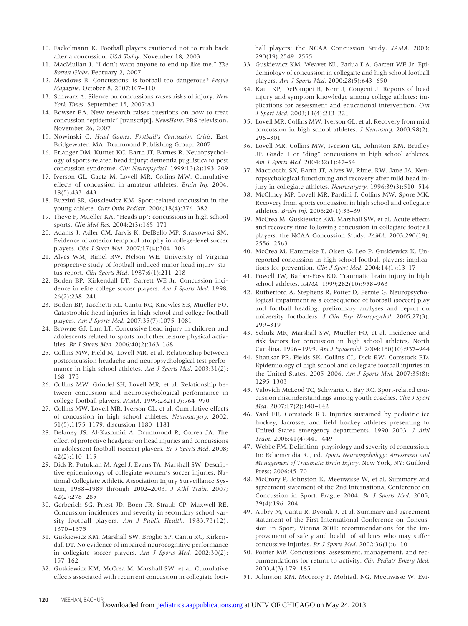- 10. Fackelmann K. Football players cautioned not to rush back after a concussion. *USA Today*. November 18, 2003
- 11. MacMullan J. "I don't want anyone to end up like me." *The Boston Globe*. February 2, 2007
- 12. Meadows B. Concussions: is football too dangerous? *People Magazine*. October 8, 2007:107–110
- 13. Schwarz A. Silence on concussions raises risks of injury. *New York Times*. September 15, 2007:A1
- 14. Bowser BA. New research raises questions on how to treat concussion "epidemic" [transcript]. *NewsHour*. PBS television. November 26, 2007
- 15. Nowinski C. *Head Games: Football's Concussion Crisis*. East Bridgewater, MA: Drummond Publishing Group; 2007
- 16. Erlanger DM, Kutner KC, Barth JT, Barnes R. Neuropsychology of sports-related head injury: dementia pugilistica to post concussion syndrome. *Clin Neuropsychol.* 1999;13(2):193–209
- 17. Iverson GL, Gaetz M, Lovell MR, Collins MW. Cumulative effects of concussion in amateur athletes. *Brain Inj.* 2004; 18(5):433– 443
- 18. Buzzini SR, Guskiewicz KM. Sport-related concussion in the young athlete. *Curr Opin Pediatr.* 2006;18(4):376 –382
- 19. Theye F, Mueller KA. "Heads up": concussions in high school sports. *Clin Med Res.* 2004;2(3):165–171
- 20. Adams J, Adler CM, Jarvis K, DelBello MP, Strakowski SM. Evidence of anterior temporal atrophy in college-level soccer players. *Clin J Sport Med.* 2007;17(4):304 –306
- 21. Alves WM, Rimel RW, Nelson WE. University of Virginia prospective study of football-induced minor head injury: status report. *Clin Sports Med.* 1987;6(1):211–218
- 22. Boden BP, Kirkendall DT, Garrett WE Jr. Concussion incidence in elite college soccer players. *Am J Sports Med.* 1998; 26(2):238 –241
- 23. Boden BP, Tacchetti RL, Cantu RC, Knowles SB, Mueller FO. Catastrophic head injuries in high school and college football players. *Am J Sports Med.* 2007;35(7):1075–1081
- 24. Browne GJ, Lam LT. Concussive head injury in children and adolescents related to sports and other leisure physical activities. *Br J Sports Med.* 2006;40(2):163–168
- 25. Collins MW, Field M, Lovell MR, et al. Relationship between postconcussion headache and neuropsychological test performance in high school athletes. *Am J Sports Med.* 2003;31(2): 168 –173
- 26. Collins MW, Grindel SH, Lovell MR, et al. Relationship between concussion and neuropsychological performance in college football players. *JAMA.* 1999;282(10):964 –970
- 27. Collins MW, Lovell MR, Iverson GL, et al. Cumulative effects of concussion in high school athletes. *Neurosurgery.* 2002; 51(5):1175–1179; discussion 1180 –1181
- 28. Delaney JS, Al-Kashmiri A, Drummond R, Correa JA. The effect of protective headgear on head injuries and concussions in adolescent football (soccer) players. *Br J Sports Med.* 2008; 42(2):110 –115
- 29. Dick R, Putukian M, Agel J, Evans TA, Marshall SW. Descriptive epidemiology of collegiate women's soccer injuries: National Collegiate Athletic Association Injury Surveillance System, 1988 –1989 through 2002–2003. *J Athl Train.* 2007; 42(2):278 –285
- 30. Gerberich SG, Priest JD, Boen JR, Straub CP, Maxwell RE. Concussion incidences and severity in secondary school varsity football players. *Am J Public Health.* 1983;73(12): 1370 –1375
- 31. Guskiewicz KM, Marshall SW, Broglio SP, Cantu RC, Kirkendall DT. No evidence of impaired neurocognitive performance in collegiate soccer players. *Am J Sports Med.* 2002;30(2): 157–162
- 32. Guskiewicz KM, McCrea M, Marshall SW, et al. Cumulative effects associated with recurrent concussion in collegiate foot-

ball players: the NCAA Concussion Study. *JAMA.* 2003; 290(19):2549 –2555

- 33. Guskiewicz KM, Weaver NL, Padua DA, Garrett WE Jr. Epidemiology of concussion in collegiate and high school football players. *Am J Sports Med.* 2000;28(5):643– 650
- 34. Kaut KP, DePompei R, Kerr J, Congeni J. Reports of head injury and symptom knowledge among college athletes: implications for assessment and educational intervention. *Clin J Sport Med.* 2003;13(4):213–221
- 35. Lovell MR, Collins MW, Iverson GL, et al. Recovery from mild concussion in high school athletes. *J Neurosurg.* 2003;98(2): 296 –301
- 36. Lovell MR, Collins MW, Iverson GL, Johnston KM, Bradley JP. Grade 1 or "ding" concussions in high school athletes. *Am J Sports Med.* 2004;32(1):47–54
- 37. Macciocchi SN, Barth JT, Alves W, Rimel RW, Jane JA. Neuropsychological functioning and recovery after mild head injury in collegiate athletes. *Neurosurgery.* 1996;39(3):510 –514
- 38. McClincy MP, Lovell MR, Pardini J, Collins MW, Spore MK. Recovery from sports concussion in high school and collegiate athletes. *Brain Inj.* 2006;20(1):33–39
- 39. McCrea M, Guskiewicz KM, Marshall SW, et al. Acute effects and recovery time following concussion in collegiate football players: the NCAA Concussion Study. *JAMA.* 2003;290(19): 2556 –2563
- 40. McCrea M, Hammeke T, Olsen G, Leo P, Guskiewicz K. Unreported concussion in high school football players: implications for prevention. *Clin J Sport Med.* 2004;14(1):13–17
- 41. Powell JW, Barber-Foss KD. Traumatic brain injury in high school athletes. *JAMA.* 1999;282(10):958 –963
- 42. Rutherford A, Stephens R, Potter D, Fernie G. Neuropsychological impairment as a consequence of football (soccer) play and football heading: preliminary analyses and report on university footballers. *J Clin Exp Neuropsychol.* 2005;27(3): 299 –319
- 43. Schulz MR, Marshall SW, Mueller FO, et al. Incidence and risk factors for concussion in high school athletes, North Carolina, 1996 –1999. *Am J Epidemiol.* 2004;160(10):937–944
- 44. Shankar PR, Fields SK, Collins CL, Dick RW, Comstock RD. Epidemiology of high school and collegiate football injuries in the United States, 2005–2006. *Am J Sports Med.* 2007;35(8): 1295–1303
- 45. Valovich McLeod TC, Schwartz C, Bay RC. Sport-related concussion misunderstandings among youth coaches. *Clin J Sport Med.* 2007;17(2):140 –142
- 46. Yard EE, Comstock RD. Injuries sustained by pediatric ice hockey, lacrosse, and field hockey athletes presenting to United States emergency departments, 1990 –2003. *J Athl Train.* 2006;41(4):441– 449
- 47. Webbe FM. Definition, physiology and severity of concussion. In: Echemendia RJ, ed. *Sports Neuropsychology: Assessment and Management of Traumatic Brain Injury*. New York, NY: Guilford Press; 2006:45–70
- 48. McCrory P, Johnston K, Meeuwisse W, et al. Summary and agreement statement of the 2nd International Conference on Concussion in Sport, Prague 2004. *Br J Sports Med.* 2005; 39(4):196 –204
- 49. Aubry M, Cantu R, Dvorak J, et al. Summary and agreement statement of the First International Conference on Concussion in Sport, Vienna 2001: recommendations for the improvement of safety and health of athletes who may suffer concussive injuries. *Br J Sports Med.* 2002;36(1):6-10
- 50. Poirier MP. Concussions: assessment, management, and recommendations for return to activity. *Clin Pediatr Emerg Med.* 2003;4(3):179 –185
- 51. Johnston KM, McCrory P, Mohtadi NG, Meeuwisse W. Evi-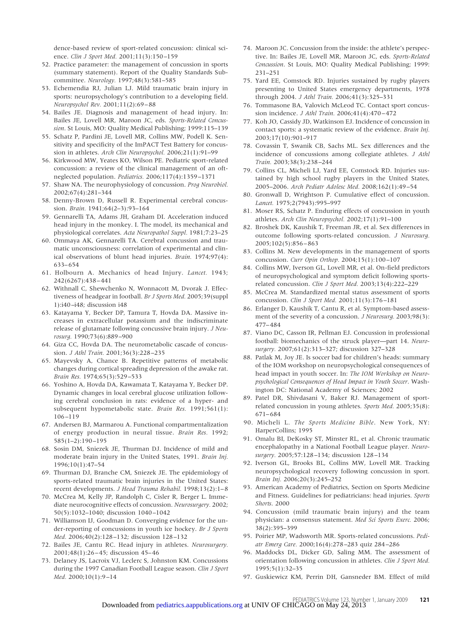dence-based review of sport-related concussion: clinical science. *Clin J Sport Med.* 2001;11(3):150-159

- 52. Practice parameter: the management of concussion in sports (summary statement). Report of the Quality Standards Subcommittee. *Neurology.* 1997;48(3):581–585
- 53. Echemendia RJ, Julian LJ. Mild traumatic brain injury in sports: neuropsychology's contribution to a developing field. *Neuropsychol Rev.* 2001;11(2):69 – 88
- 54. Bailes JE. Diagnosis and management of head injury. In: Bailes JE, Lovell MR, Maroon JC, eds. *Sports-Related Concussion*. St Louis, MO: Quality Medical Publishing; 1999:115–139
- 55. Schatz P, Pardini JE, Lovell MR, Collins MW, Podell K. Sensitivity and specificity of the ImPACT Test Battery for concussion in athletes. *Arch Clin Neuropsychol.* 2006;21(1):91–99
- 56. Kirkwood MW, Yeates KO, Wilson PE. Pediatric sport-related concussion: a review of the clinical management of an oftneglected population. *Pediatrics.* 2006;117(4):1359 –1371
- 57. Shaw NA. The neurophysiology of concussion. *Prog Neurobiol.* 2002;67(4):281–344
- 58. Denny-Brown D, Russell R. Experimental cerebral concussion. *Brain.* 1941;64(2–3):93–164
- 59. Gennarelli TA, Adams JH, Graham DI. Acceleration induced head injury in the monkey. I. The model, its mechanical and physiological correlates. *Acta Neuropathol Suppl.* 1981;7:23–25
- 60. Ommaya AK, Gennarelli TA. Cerebral concussion and traumatic unconsciousness: correlation of experimental and clinical observations of blunt head injuries. *Brain.* 1974;97(4): 633– 654
- 61. Holbourn A. Mechanics of head Injury. *Lancet.* 1943; 242(6267):438 – 441
- 62. Withnall C, Shewchenko N, Wonnacott M, Dvorak J. Effectiveness of headgear in football. *Br J Sports Med.* 2005;39(suppl 1):i40 –i48; discussion i48
- 63. Katayama Y, Becker DP, Tamura T, Hovda DA. Massive increases in extracellular potassium and the indiscriminate release of glutamate following concussive brain injury. *J Neurosurg.* 1990;73(6):889 –900
- 64. Giza CC, Hovda DA. The neurometabolic cascade of concussion. *J Athl Train.* 2001;36(3):228 –235
- 65. Mayevsky A, Chance B. Repetitive patterns of metabolic changes during cortical spreading depression of the awake rat. *Brain Res.* 1974;65(3):529 –533
- 66. Yoshino A, Hovda DA, Kawamata T, Katayama Y, Becker DP. Dynamic changes in local cerebral glucose utilization following cerebral conclusion in rats: evidence of a hyper- and subsequent hypometabolic state. *Brain Res.* 1991;561(1): 106 –119
- 67. Andersen BJ, Marmarou A. Functional compartmentalization of energy production in neural tissue. *Brain Res.* 1992; 585(1–2):190 –195
- 68. Sosin DM, Sniezek JE, Thurman DJ. Incidence of mild and moderate brain injury in the United States, 1991. *Brain Inj.* 1996;10(1):47–54
- 69. Thurman DJ, Branche CM, Sniezek JE. The epidemiology of sports-related traumatic brain injuries in the United States: recent developments. *J Head Trauma Rehabil.* 1998;13(2):1– 8
- 70. McCrea M, Kelly JP, Randolph C, Cisler R, Berger L. Immediate neurocognitive effects of concussion. *Neurosurgery.* 2002; 50(5):1032–1040; discussion 1040 –1042
- 71. Williamson IJ, Goodman D. Converging evidence for the under-reporting of concussions in youth ice hockey. *Br J Sports Med.* 2006;40(2):128 –132; discussion 128 –132
- 72. Bailes JE, Cantu RC. Head injury in athletes. *Neurosurgery.* 2001;48(1):26 – 45; discussion 45– 46
- 73. Delaney JS, Lacroix VJ, Leclerc S, Johnston KM. Concussions during the 1997 Canadian Football League season. *Clin J Sport Med.* 2000;10(1):9 –14
- 74. Maroon JC. Concussion from the inside: the athlete's perspective. In: Bailes JE, Lovell MR, Maroon JC, eds. *Sports-Related Concussion*. St Louis, MO: Quality Medical Publishing; 1999: 231–251
- 75. Yard EE, Comstock RD. Injuries sustained by rugby players presenting to United States emergency departments, 1978 through 2004. *J Athl Train.* 2006;41(3):325–331
- 76. Tommasone BA, Valovich McLeod TC. Contact sport concussion incidence. *J Athl Train.* 2006;41(4):470-472
- 77. Koh JO, Cassidy JD, Watkinson EJ. Incidence of concussion in contact sports: a systematic review of the evidence. *Brain Inj.* 2003;17(10):901–917
- 78. Covassin T, Swanik CB, Sachs ML. Sex differences and the incidence of concussions among collegiate athletes. *J Athl Train.* 2003;38(3):238 –244
- 79. Collins CL, Micheli LJ, Yard EE, Comstock RD. Injuries sustained by high school rugby players in the United States, 2005–2006. *Arch Pediatr Adolesc Med.* 2008;162(1):49 –54
- 80. Gronwall D, Wrightson P. Cumulative effect of concussion. *Lancet.* 1975;2(7943):995–997
- 81. Moser RS, Schatz P. Enduring effects of concussion in youth athletes. *Arch Clin Neuropsychol.* 2002;17(1):91–100
- 82. Broshek DK, Kaushik T, Freeman JR, et al. Sex differences in outcome following sports-related concussion. *J Neurosurg.* 2005;102(5):856 – 863
- 83. Collins M. New developments in the management of sports concussion. *Curr Opin Orthop.* 2004;15(1):100 –107
- 84. Collins MW, Iverson GL, Lovell MR, et al. On-field predictors of neuropsychological and symptom deficit following sportsrelated concussion. *Clin J Sport Med.* 2003;13(4):222–229
- 85. McCrea M. Standardized mental status assessment of sports concussion. *Clin J Sport Med.* 2001;11(3):176 –181
- 86. Erlanger D, Kaushik T, Cantu R, et al. Symptom-based assessment of the severity of a concussion. *J Neurosurg.* 2003;98(3): 477– 484
- 87. Viano DC, Casson IR, Pellman EJ. Concussion in professional football: biomechanics of the struck player—part 14. *Neurosurgery.* 2007;61(2):313–327; discussion 327–328
- 88. Patlak M, Joy JE. Is soccer bad for children's heads: summary of the IOM workshop on neuropsychological consequences of head impact in youth soccer. In: *The IOM Workshop on Neuropsychological Consequences of Head Impact in Youth Soccer*. Washington DC: National Academy of Sciences; 2002
- 89. Patel DR, Shivdasani V, Baker RJ. Management of sportrelated concussion in young athletes. *Sports Med.* 2005;35(8): 671– 684
- 90. Micheli L. *The Sports Medicine Bible*. New York, NY: HarperCollins; 1995
- 91. Omalu BI, DeKosky ST, Minster RL, et al. Chronic traumatic encephalopathy in a National Football League player. *Neurosurgery.* 2005;57:128 –134; discussion 128 –134
- 92. Iverson GL, Brooks BL, Collins MW, Lovell MR. Tracking neuropsychological recovery following concussion in sport. *Brain Inj.* 2006;20(3):245–252
- 93. American Academy of Pediatrics, Section on Sports Medicine and Fitness. Guidelines for pediatricians: head injuries. *Sports Shorts*. 2000
- 94. Concussion (mild traumatic brain injury) and the team physician: a consensus statement. *Med Sci Sports Exerc.* 2006; 38(2):395–399
- 95. Poirier MP, Wadsworth MR. Sports-related concussions. *Pediatr Emerg Care.* 2000;16(4):278 –283 quiz 284 –286
- 96. Maddocks DL, Dicker GD, Saling MM. The assessment of orientation following concussion in athletes. *Clin J Sport Med.* 1995;5(1):32–35
- 97. Guskiewicz KM, Perrin DH, Gansneder BM. Effect of mild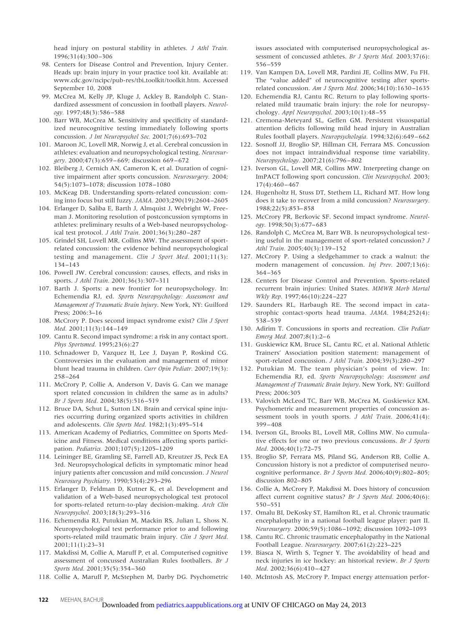head injury on postural stability in athletes. *J Athl Train.* 1996;31(4):300 –306

- 98. Centers for Disease Control and Prevention, Injury Center. Heads up: brain injury in your practice tool kit. Available at: www.cdc.gov/ncipc/pub-res/tbi\_toolkit/toolkit.htm. Accessed September 10, 2008
- 99. McCrea M, Kelly JP, Kluge J, Ackley B, Randolph C. Standardized assessment of concussion in football players. *Neurology.* 1997;48(3):586 –588
- 100. Barr WB, McCrea M. Sensitivity and specificity of standardized neurocognitive testing immediately following sports concussion. *J Int Neuropsychol Soc.* 2001;7(6):693–702
- 101. Maroon JC, Lovell MR, Norwig J, et al. Cerebral concussion in athletes: evaluation and neuropsychological testing. *Neurosurgery.* 2000;47(3):659 – 669; discussion 669 – 672
- 102. Bleiberg J, Cernich AN, Cameron K, et al. Duration of cognitive impairment after sports concussion. *Neurosurgery.* 2004; 54(5):1073–1078; discussion 1078 –1080
- 103. McKeag DB. Understanding sports-related concussion: coming into focus but still fuzzy. *JAMA.* 2003;290(19):2604 –2605
- 104. Erlanger D, Saliba E, Barth J, Almquist J, Webright W, Freeman J. Monitoring resolution of postconcussion symptoms in athletes: preliminary results of a Web-based neuropsychological test protocol. *J Athl Train.* 2001;36(3):280 –287
- 105. Grindel SH, Lovell MR, Collins MW. The assessment of sportrelated concussion: the evidence behind neuropsychological testing and management. *Clin J Sport Med.* 2001;11(3): 134 –143
- 106. Powell JW. Cerebral concussion: causes, effects, and risks in sports. *J Athl Train.* 2001;36(3):307–311
- 107. Barth J. Sports: a new frontier for neuropsychology. In: Echemendia RJ, ed. *Sports Neuropsychology: Assessment and Management of Traumatic Brain Injury*. New York, NY: Guilford Press; 2006:3–16
- 108. McCrory P. Does second impact syndrome exist? *Clin J Sport Med.* 2001;11(3):144 –149
- 109. Cantu R. Second impact syndrome: a risk in any contact sport. *Phys Sportsmed.* 1995;23(6):27
- 110. Schnadower D, Vazquez H, Lee J, Dayan P, Roskind CG. Controversies in the evaluation and management of minor blunt head trauma in children. *Curr Opin Pediatr.* 2007;19(3): 258 –264
- 111. McCrory P, Collie A, Anderson V, Davis G. Can we manage sport related concussion in children the same as in adults? *Br J Sports Med.* 2004;38(5):516 –519
- 112. Bruce DA, Schut L, Sutton LN. Brain and cervical spine injuries occurring during organized sports activities in children and adolescents. *Clin Sports Med.* 1982;1(3):495–514
- 113. American Academy of Pediatrics, Committee on Sports Medicine and Fitness. Medical conditions affecting sports participation. *Pediatrics.* 2001;107(5):1205–1209
- 114. Leininger BE, Gramling SE, Farrell AD, Kreutzer JS, Peck EA 3rd. Neuropsychological deficits in symptomatic minor head injury patients after concussion and mild concussion. *J Neurol Neurosurg Psychiatry.* 1990;53(4):293–296
- 115. Erlanger D, Feldman D, Kutner K, et al. Development and validation of a Web-based neuropsychological test protocol for sports-related return-to-play decision-making. *Arch Clin Neuropsychol.* 2003;18(3):293–316
- 116. Echemendia RJ, Putukian M, Mackin RS, Julian L, Shoss N. Neuropsychological test performance prior to and following sports-related mild traumatic brain injury. *Clin J Sport Med.* 2001;11(1):23–31
- 117. Makdissi M, Collie A, Maruff P, et al. Computerised cognitive assessment of concussed Australian Rules footballers. *Br J Sports Med.* 2001;35(5):354 –360
- 118. Collie A, Maruff P, McStephen M, Darby DG. Psychometric

issues associated with computerised neuropsychological assessment of concussed athletes. *Br J Sports Med.* 2003;37(6): 556 –559

- 119. Van Kampen DA, Lovell MR, Pardini JE, Collins MW, Fu FH. The "value added" of neurocognitive testing after sportsrelated concussion. *Am J Sports Med.* 2006;34(10):1630 –1635
- 120. Echemendia RJ, Cantu RC. Return to play following sportsrelated mild traumatic brain injury: the role for neuropsychology. *Appl Neuropsychol.* 2003;10(1):48 –55
- 121. Cremona-Meteyard SL, Geffen GM. Persistent visuospatial attention deficits following mild head injury in Australian Rules football players. *Neuropsychologia.* 1994;32(6):649 – 662
- 122. Sosnoff JJ, Broglio SP, Hillman CH, Ferrara MS. Concussion does not impact intraindividual response time variability. *Neuropsychology.* 2007;21(6):796 – 802
- 123. Iverson GL, Lovell MR, Collins MW. Interpreting change on ImPACT following sport concussion. *Clin Neuropsychol.* 2003; 17(4):460 – 467
- 124. Hugenholtz H, Stuss DT, Stethem LL, Richard MT. How long does it take to recover from a mild concussion? *Neurosurgery.* 1988;22(5):853– 858
- 125. McCrory PR, Berkovic SF. Second impact syndrome. *Neurology.* 1998;50(3):677– 683
- 126. Randolph C, McCrea M, Barr WB. Is neuropsychological testing useful in the management of sport-related concussion? *J Athl Train.* 2005;40(3):139 –152
- 127. McCrory P. Using a sledgehammer to crack a walnut: the modern management of concussion. *Inj Prev.* 2007;13(6): 364 –365
- 128. Centers for Disease Control and Prevention. Sports-related recurrent brain injuries: United States. *MMWR Morb Mortal Wkly Rep.* 1997;46(10):224 –227
- 129. Saunders RL, Harbaugh RE. The second impact in catastrophic contact-sports head trauma. *JAMA.* 1984;252(4): 538 –539
- 130. Adirim T. Concussions in sports and recreation. *Clin Pediatr Emerg Med.* 2007;8(1):2– 6
- 131. Guskiewicz KM, Bruce SL, Cantu RC, et al. National Athletic Trainers' Association position statement: management of sport-related concussion. *J Athl Train.* 2004;39(3):280 –297
- 132. Putukian M. The team physician's point of view. In: Echemendia RJ, ed. *Sports Neuropsychology: Assessment and Management of Traumatic Brain Injury*. New York, NY: Guilford Press; 2006:305
- 133. Valovich McLeod TC, Barr WB, McCrea M, Guskiewicz KM. Psychometric and measurement properties of concussion assessment tools in youth sports. *J Athl Train.* 2006;41(4): 399 – 408
- 134. Iverson GL, Brooks BL, Lovell MR, Collins MW. No cumulative effects for one or two previous concussions. *Br J Sports Med.* 2006;40(1):72–75
- 135. Broglio SP, Ferrara MS, Piland SG, Anderson RB, Collie A. Concussion history is not a predictor of computerised neurocognitive performance. *Br J Sports Med.* 2006;40(9):802– 805; discussion 802– 805
- 136. Collie A, McCrory P, Makdissi M. Does history of concussion affect current cognitive status? *Br J Sports Med.* 2006;40(6): 550 –551
- 137. Omalu BI, DeKosky ST, Hamilton RL, et al. Chronic traumatic encephalopathy in a national football league player: part II. *Neurosurgery.* 2006;59(5):1086 –1092; discussion 1092–1093
- 138. Cantu RC. Chronic traumatic encephalopathy in the National Football League. *Neurosurgery.* 2007;61(2):223–225
- 139. Biasca N, Wirth S, Tegner Y. The avoidability of head and neck injuries in ice hockey: an historical review. *Br J Sports Med.* 2002;36(6):410 – 427
- 140. McIntosh AS, McCrory P. Impact energy attenuation perfor-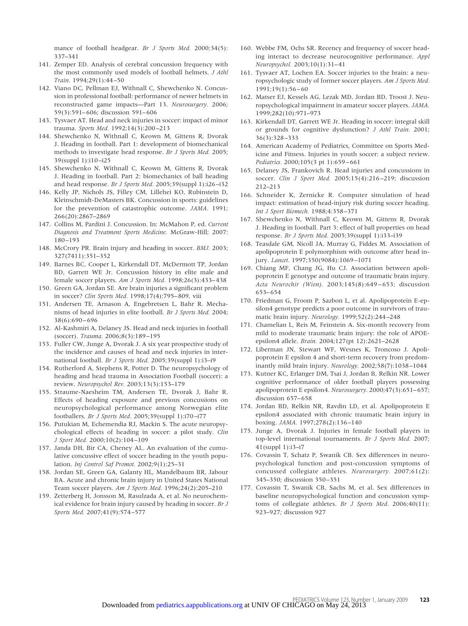mance of football headgear. *Br J Sports Med.* 2000;34(5): 337–341

- 141. Zemper ED. Analysis of cerebral concussion frequency with the most commonly used models of football helmets. *J Athl Train.* 1994;29(1):44 –50
- 142. Viano DC, Pellman EJ, Withnall C, Shewchenko N. Concussion in professional football: performance of newer helmets in reconstructed game impacts—Part 13. *Neurosurgery.* 2006; 59(3):591– 606; discussion 591– 606
- 143. Tysvaer AT. Head and neck injuries in soccer: impact of minor trauma. *Sports Med.* 1992;14(3):200 –213
- 144. Shewchenko N, Withnall C, Keown M, Gittens R, Dvorak J. Heading in football. Part 1: development of biomechanical methods to investigate head response. *Br J Sports Med.* 2005; 39(suppl 1):i10 –i25
- 145. Shewchenko N, Withnall C, Keown M, Gittens R, Dvorak J. Heading in football. Part 2: biomechanics of ball heading and head response. *Br J Sports Med.* 2005;39(suppl 1):i26 –i32
- 146. Kelly JP, Nichols JS, Filley CM, Lillehei KO, Rubinstein D, Kleinschmidt-DeMasters BK. Concussion in sports: guidelines for the prevention of catastrophic outcome. *JAMA.* 1991; 266(20):2867–2869
- 147. Collins M, Pardini J. Concussion. In: McMahon P, ed. *Current Diagnosis and Treatment Sports Medicine*. McGraw-Hill; 2007: 180 –193
- 148. McCrory PR. Brain injury and heading in soccer. *BMJ.* 2003; 327(7411):351–352
- 149. Barnes BC, Cooper L, Kirkendall DT, McDermott TP, Jordan BD, Garrett WE Jr. Concussion history in elite male and female soccer players. *Am J Sports Med.* 1998;26(3):433– 438
- 150. Green GA, Jordan SE. Are brain injuries a significant problem in soccer? *Clin Sports Med.* 1998;17(4):795– 809, viii
- 151. Andersen TE, Arnason A, Engebretsen L, Bahr R. Mechanisms of head injuries in elite football. *Br J Sports Med.* 2004; 38(6):690 – 696
- 152. Al-Kashmiri A, Delaney JS. Head and neck injuries in football (soccer). *Trauma.* 2006;8(3):189 –195
- 153. Fuller CW, Junge A, Dvorak J. A six year prospective study of the incidence and causes of head and neck injuries in international football. *Br J Sports Med.* 2005;39(suppl 1):i3–i9
- 154. Rutherford A, Stephens R, Potter D. The neuropsychology of heading and head trauma in Association Football (soccer): a review. *Neuropsychol Rev.* 2003;13(3):153–179
- 155. Straume-Naesheim TM, Andersen TE, Dvorak J, Bahr R. Effects of heading exposure and previous concussions on neuropsychological performance among Norwegian elite footballers. *Br J Sports Med.* 2005;39(suppl 1):i70 –i77
- 156. Putukian M, Echemendia RJ, Mackin S. The acute neuropsychological effects of heading in soccer: a pilot study. *Clin J Sport Med.* 2000;10(2):104 –109
- 157. Janda DH, Bir CA, Cheney AL. An evaluation of the cumulative concussive effect of soccer heading in the youth population. *Inj Control Saf Promot.* 2002;9(1):25–31
- 158. Jordan SE, Green GA, Galanty HL, Mandelbaum BR, Jabour BA. Acute and chronic brain injury in United States National Team soccer players. *Am J Sports Med.* 1996;24(2):205–210
- 159. Zetterberg H, Jonsson M, Rasulzada A, et al. No neurochemical evidence for brain injury caused by heading in soccer. *Br J Sports Med.* 2007;41(9):574 –577
- 160. Webbe FM, Ochs SR. Recency and frequency of soccer heading interact to decrease neurocognitive performance. *Appl Neuropsychol.* 2003;10(1):31– 41
- 161. Tysvaer AT, Lochen EA. Soccer injuries to the brain: a neuropsychologic study of former soccer players. *Am J Sports Med.* 1991;19(1):56 – 60
- 162. Matser EJ, Kessels AG, Lezak MD, Jordan BD, Troost J. Neuropsychological impairment in amateur soccer players. *JAMA.* 1999;282(10):971–973
- 163. Kirkendall DT, Garrett WE Jr. Heading in soccer: integral skill or grounds for cognitive dysfunction? *J Athl Train.* 2001; 36(3):328 –333
- 164. American Academy of Pediatrics, Committee on Sports Medicine and Fitness. Injuries in youth soccer: a subject review. *Pediatrics.* 2000;105(3 pt 1):659 – 661
- 165. Delaney JS, Frankovich R. Head injuries and concussions in soccer. *Clin J Sport Med.* 2005;15(4):216 –219; discussion 212–213
- 166. Schneider K, Zernicke R. Computer simulation of head impact: estimation of head-injury risk during soccer heading. *Int J Sport Biomech.* 1988;4:358 –371
- 167. Shewchenko N, Withnall C, Keown M, Gittens R, Dvorak J. Heading in football. Part 3: effect of ball properties on head response. *Br J Sports Med.* 2005;39(suppl 1):i33–i39
- 168. Teasdale GM, Nicoll JA, Murray G, Fiddes M. Association of apolipoprotein E polymorphism with outcome after head injury. *Lancet.* 1997;350(9084):1069 –1071
- 169. Chiang MF, Chang JG, Hu CJ. Association between apolipoprotein E genotype and outcome of traumatic brain injury. *Acta Neurochir (Wien).* 2003;145(8):649 – 653; discussion 653– 654
- 170. Friedman G, Froom P, Sazbon L, et al. Apolipoprotein E-epsilon4 genotype predicts a poor outcome in survivors of traumatic brain injury. *Neurology.* 1999;52(2):244 –248
- 171. Chamelian L, Reis M, Feinstein A. Six-month recovery from mild to moderate traumatic brain injury: the role of APOEepsilon4 allele. *Brain.* 2004;127(pt 12):2621–2628
- 172. Liberman JN, Stewart WF, Wesnes K, Troncoso J. Apolipoprotein E epsilon 4 and short-term recovery from predominantly mild brain injury. *Neurology.* 2002;58(7):1038 –1044
- 173. Kutner KC, Erlanger DM, Tsai J, Jordan B, Relkin NR. Lower cognitive performance of older football players possessing apolipoprotein E epsilon4. *Neurosurgery.* 2000;47(3):651– 657; discussion 657-658
- 174. Jordan BD, Relkin NR, Ravdin LD, et al. Apolipoprotein E epsilon4 associated with chronic traumatic brain injury in boxing. *JAMA.* 1997;278(2):136 –140
- 175. Junge A, Dvorak J. Injuries in female football players in top-level international tournaments. *Br J Sports Med.* 2007; 41(suppl 1):i3–i7
- 176. Covassin T, Schatz P, Swanik CB. Sex differences in neuropsychological function and post-concussion symptoms of concussed collegiate athletes. *Neurosurgery.* 2007;61(2): 345–350; discussion 350 –351
- 177. Covassin T, Swanik CB, Sachs M, et al. Sex differences in baseline neuropsychological function and concussion symptoms of collegiate athletes. *Br J Sports Med.* 2006;40(11): 923–927; discussion 927